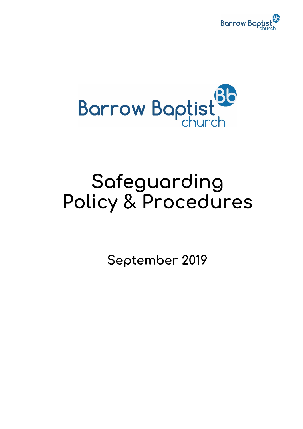



# **Safeguarding Policy & Procedures**

**September 2019**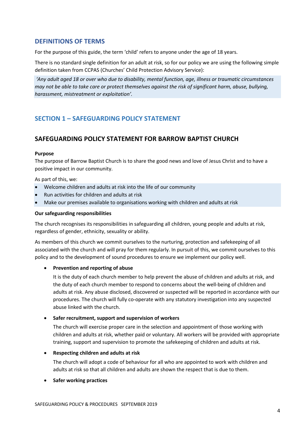# **DEFINITIONS OF TERMS**

For the purpose of this guide, the term 'child' refers to anyone under the age of 18 years.

There is no standard single definition for an adult at risk, so for our policy we are using the following simple definition taken from CCPAS (Churches' Child Protection Advisory Service):

*'Any adult aged 18 or over who due to disability, mental function, age, illness or traumatic circumstances may not be able to take care or protect themselves against the risk of significant harm, abuse, bullying, harassment, mistreatment or exploitation'.*

# **SECTION 1 – SAFEGUARDING POLICY STATEMENT**

# **SAFEGUARDING POLICY STATEMENT FOR BARROW BAPTIST CHURCH**

#### **Purpose**

The purpose of Barrow Baptist Church is to share the good news and love of Jesus Christ and to have a positive impact in our community.

As part of this, we:

- Welcome children and adults at risk into the life of our community
- Run activities for children and adults at risk
- Make our premises available to organisations working with children and adults at risk

#### **Our safeguarding responsibilities**

The church recognises its responsibilities in safeguarding all children, young people and adults at risk, regardless of gender, ethnicity, sexuality or ability.

As members of this church we commit ourselves to the nurturing, protection and safekeeping of all associated with the church and will pray for them regularly. In pursuit of this, we commit ourselves to this policy and to the development of sound procedures to ensure we implement our policy well.

#### • **Prevention and reporting of abuse**

It is the duty of each church member to help prevent the abuse of children and adults at risk, and the duty of each church member to respond to concerns about the well-being of children and adults at risk. Any abuse disclosed, discovered or suspected will be reported in accordance with our procedures. The church will fully co-operate with any statutory investigation into any suspected abuse linked with the church.

#### • **Safer recruitment, support and supervision of workers**

The church will exercise proper care in the selection and appointment of those working with children and adults at risk, whether paid or voluntary. All workers will be provided with appropriate training, support and supervision to promote the safekeeping of children and adults at risk.

#### • **Respecting children and adults at risk**

The church will adopt a code of behaviour for all who are appointed to work with children and adults at risk so that all children and adults are shown the respect that is due to them.

#### • **Safer working practices**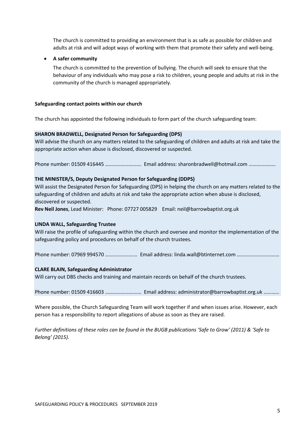The church is committed to providing an environment that is as safe as possible for children and adults at risk and will adopt ways of working with them that promote their safety and well-being.

#### • **A safer community**

The church is committed to the prevention of bullying. The church will seek to ensure that the behaviour of any individuals who may pose a risk to children, young people and adults at risk in the community of the church is managed appropriately.

#### **Safeguarding contact points within our church**

The church has appointed the following individuals to form part of the church safeguarding team:

#### **SHARON BRADWELL, Designated Person for Safeguarding (DPS)**

Will advise the church on any matters related to the safeguarding of children and adults at risk and take the appropriate action when abuse is disclosed, discovered or suspected.

Phone number: 01509 416445 ………………………. Email address: sharonbradwell@hotmail.com …………………

#### **THE MINISTER/S, Deputy Designated Person for Safeguarding (DDPS)**

Will assist the Designated Person for Safeguarding (DPS) in helping the church on any matters related to the safeguarding of children and adults at risk and take the appropriate action when abuse is disclosed, discovered or suspected.

**Rev Neil Jones**, Lead Minister: Phone: 07727 005829 Email: neil@barrowbaptist.org.uk

#### **LINDA WALL, Safeguarding Trustee**

Will raise the profile of safeguarding within the church and oversee and monitor the implementation of the safeguarding policy and procedures on behalf of the church trustees.

Phone number: 07969 994570 ………………….… Email address: linda.wall@btinternet.com ……………………………

#### **CLARE BLAIN, Safeguarding Administrator**

Will carry out DBS checks and training and maintain records on behalf of the church trustees.

Phone number: 01509 416603 ................................. Email address: administrator@barrowbaptist.org.uk ............

Where possible, the Church Safeguarding Team will work together if and when issues arise. However, each person has a responsibility to report allegations of abuse as soon as they are raised.

*Further definitions of these roles can be found in the BUGB publications 'Safe to Grow' (2011) & 'Safe to Belong' (2015).*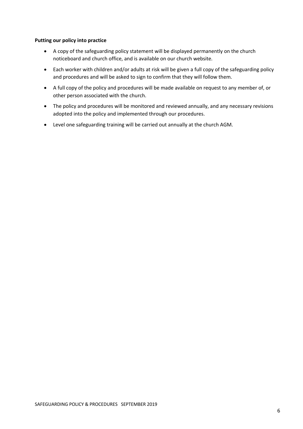#### **Putting our policy into practice**

- A copy of the safeguarding policy statement will be displayed permanently on the church noticeboard and church office, and is available on our church website.
- Each worker with children and/or adults at risk will be given a full copy of the safeguarding policy and procedures and will be asked to sign to confirm that they will follow them.
- A full copy of the policy and procedures will be made available on request to any member of, or other person associated with the church.
- The policy and procedures will be monitored and reviewed annually, and any necessary revisions adopted into the policy and implemented through our procedures.
- Level one safeguarding training will be carried out annually at the church AGM.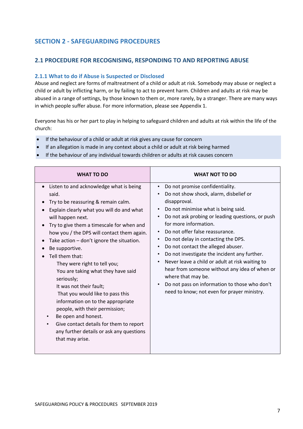# **SECTION 2 - SAFEGUARDING PROCEDURES**

# **2.1 PROCEDURE FOR RECOGNISING, RESPONDING TO AND REPORTING ABUSE**

# **2.1.1 What to do if Abuse is Suspected or Disclosed**

Abuse and neglect are forms of maltreatment of a child or adult at risk. Somebody may abuse or neglect a child or adult by inflicting harm, or by failing to act to prevent harm. Children and adults at risk may be abused in a range of settings, by those known to them or, more rarely, by a stranger. There are many ways in which people suffer abuse. For more information, please see Appendix 1.

Everyone has his or her part to play in helping to safeguard children and adults at risk within the life of the church:

- If the behaviour of a child or adult at risk gives any cause for concern
- If an allegation is made in any context about a child or adult at risk being harmed
- If the behaviour of any individual towards children or adults at risk causes concern

| <b>WHAT TO DO</b>                                                                                                                                                                                                                                                                                                                                                                                                                                                                                                                                                                                                                                                                                                                                     | <b>WHAT NOT TO DO</b>                                                                                                                                                                                                                                                                                                                                                                                                                                                                                                                                                                                                                                                                              |
|-------------------------------------------------------------------------------------------------------------------------------------------------------------------------------------------------------------------------------------------------------------------------------------------------------------------------------------------------------------------------------------------------------------------------------------------------------------------------------------------------------------------------------------------------------------------------------------------------------------------------------------------------------------------------------------------------------------------------------------------------------|----------------------------------------------------------------------------------------------------------------------------------------------------------------------------------------------------------------------------------------------------------------------------------------------------------------------------------------------------------------------------------------------------------------------------------------------------------------------------------------------------------------------------------------------------------------------------------------------------------------------------------------------------------------------------------------------------|
| Listen to and acknowledge what is being<br>$\bullet$<br>said.<br>Try to be reassuring & remain calm.<br>Explain clearly what you will do and what<br>will happen next.<br>Try to give them a timescale for when and<br>$\bullet$<br>how you / the DPS will contact them again.<br>Take action - don't ignore the situation.<br>$\bullet$<br>Be supportive.<br>Tell them that:<br>They were right to tell you;<br>You are taking what they have said<br>seriously;<br>It was not their fault;<br>That you would like to pass this<br>information on to the appropriate<br>people, with their permission;<br>Be open and honest.<br>Give contact details for them to report<br>$\bullet$<br>any further details or ask any questions<br>that may arise. | Do not promise confidentiality.<br>$\bullet$<br>Do not show shock, alarm, disbelief or<br>$\bullet$<br>disapproval.<br>Do not minimise what is being said.<br>$\bullet$<br>Do not ask probing or leading questions, or push<br>for more information.<br>Do not offer false reassurance.<br>$\bullet$<br>Do not delay in contacting the DPS.<br>$\bullet$<br>Do not contact the alleged abuser.<br>$\bullet$<br>Do not investigate the incident any further.<br>$\bullet$<br>Never leave a child or adult at risk waiting to<br>hear from someone without any idea of when or<br>where that may be.<br>Do not pass on information to those who don't<br>need to know; not even for prayer ministry. |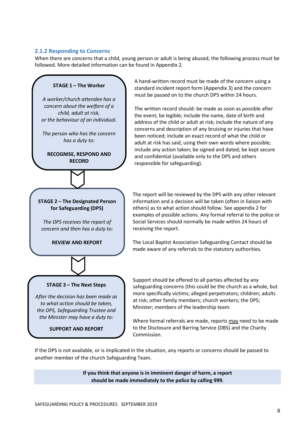#### **2.1.2 Responding to Concerns**

When there are concerns that a child, young person or adult is being abused, the following process must be followed. More detailed information can be found in Appendix 2.



A hand-written record must be made of the concern using a standard incident report form (Appendix 3) and the concern must be passed on to the church DPS within 24 hours.

The written record should: be made as soon as possible after the event; be legible; include the name, date of birth and address of the child or adult at risk; include the nature of any concerns and description of any bruising or injuries that have been noticed; include an exact record of what the child or adult at risk has said, using their own words where possible; include any action taken; be signed and dated; be kept secure and confidential (available only to the DPS and others responsible for safeguarding).

The report will be reviewed by the DPS with any other relevant information and a decision will be taken (often in liaison with others) as to what action should follow. See appendix 2 for examples of possible actions. Any formal referral to the police or Social Services should normally be made within 24 hours of receiving the report.

The Local Baptist Association Safeguarding Contact should be made aware of any referrals to the statutory authorities.

**SUPPORT AND REPORT**

Support should be offered to all parties affected by any safeguarding concerns (this could be the church as a whole, but more specifically victims; alleged perpetrators; children; adults at risk; other family members; church workers; the DPS; Minister; members of the leadership team.

Where formal referrals are made, reports may need to be made to the Disclosure and Barring Service (DBS) and the Charity Commission.

If the DPS is not available, or is implicated in the situation, any reports or concerns should be passed to another member of the church Safeguarding Team.

> **If you think that anyone is in imminent danger of harm, a report should be made immediately to the police by calling 999**.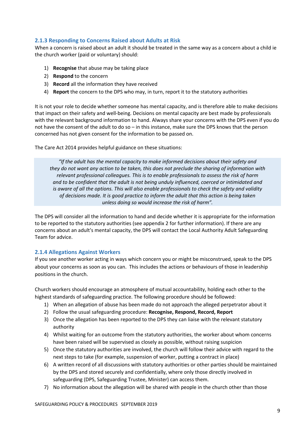# **2.1.3 Responding to Concerns Raised about Adults at Risk**

When a concern is raised about an adult it should be treated in the same way as a concern about a child ie the church worker (paid or voluntary) should:

- 1) **Recognise** that abuse may be taking place
- 2) **Respond** to the concern
- 3) **Record** all the information they have received
- 4) **Report** the concern to the DPS who may, in turn, report it to the statutory authorities

It is not your role to decide whether someone has mental capacity, and is therefore able to make decisions that impact on their safety and well-being. Decisions on mental capacity are best made by professionals with the relevant background information to hand. Always share your concerns with the DPS even if you do not have the consent of the adult to do so – in this instance, make sure the DPS knows that the person concerned has not given consent for the information to be passed on.

The Care Act 2014 provides helpful guidance on these situations:

*"If the adult has the mental capacity to make informed decisions about their safety and they do not want any action to be taken, this does not preclude the sharing of information with relevant professional colleagues. This is to enable professionals to assess the risk of harm and to be confident that the adult is not being unduly influenced, coerced or intimidated and is aware of all the options. This will also enable professionals to check the safety and validity of decisions made. It is good practice to inform the adult that this action is being taken unless doing so would increase the risk of harm".*

The DPS will consider all the information to hand and decide whether it is appropriate for the information to be reported to the statutory authorities (see appendix 2 for further information). If there are any concerns about an adult's mental capacity, the DPS will contact the Local Authority Adult Safeguarding Team for advice.

# **2.1.4 Allegations Against Workers**

If you see another worker acting in ways which concern you or might be misconstrued, speak to the DPS about your concerns as soon as you can. This includes the actions or behaviours of those in leadership positions in the church.

Church workers should encourage an atmosphere of mutual accountability, holding each other to the highest standards of safeguarding practice. The following procedure should be followed:

- 1) When an allegation of abuse has been made do not approach the alleged perpetrator about it
- 2) Follow the usual safeguarding procedure: **Recognise, Respond, Record, Report**
- 3) Once the allegation has been reported to the DPS they can liaise with the relevant statutory authority
- 4) Whilst waiting for an outcome from the statutory authorities, the worker about whom concerns have been raised will be supervised as closely as possible, without raising suspicion
- 5) Once the statutory authorities are involved, the church will follow their advice with regard to the next steps to take (for example, suspension of worker, putting a contract in place)
- 6) A written record of all discussions with statutory authorities or other parties should be maintained by the DPS and stored securely and confidentially, where only those directly involved in safeguarding (DPS, Safeguarding Trustee, Minister) can access them.
- 7) No information about the allegation will be shared with people in the church other than those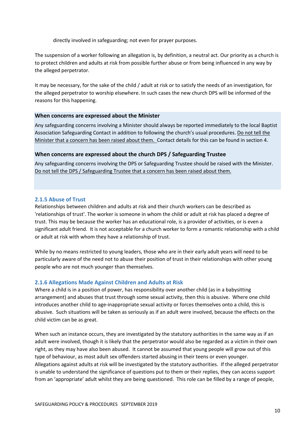directly involved in safeguarding; not even for prayer purposes.

The suspension of a worker following an allegation is, by definition, a neutral act. Our priority as a church is to protect children and adults at risk from possible further abuse or from being influenced in any way by the alleged perpetrator.

It may be necessary, for the sake of the child / adult at risk or to satisfy the needs of an investigation, for the alleged perpetrator to worship elsewhere. In such cases the new church DPS will be informed of the reasons for this happening.

#### **When concerns are expressed about the Minister**

Any safeguarding concerns involving a Minister should always be reported immediately to the local Baptist Association Safeguarding Contact in addition to following the church's usual procedures. Do not tell the Minister that a concern has been raised about them. Contact details for this can be found in section 4.

# **When concerns are expressed about the church DPS / Safeguarding Trustee**

Any safeguarding concerns involving the DPS or Safeguarding Trustee should be raised with the Minister. Do not tell the DPS / Safeguarding Trustee that a concern has been raised about them.

# **2.1.5 Abuse of Trust**

Relationships between children and adults at risk and their church workers can be described as 'relationships of trust'. The worker is someone in whom the child or adult at risk has placed a degree of trust. This may be because the worker has an educational role, is a provider of activities, or is even a significant adult friend. It is not acceptable for a church worker to form a romantic relationship with a child or adult at risk with whom they have a relationship of trust.

While by no means restricted to young leaders, those who are in their early adult years will need to be particularly aware of the need not to abuse their position of trust in their relationships with other young people who are not much younger than themselves.

# **2.1.6 Allegations Made Against Children and Adults at Risk**

Where a child is in a position of power, has responsibility over another child (as in a babysitting arrangement) and abuses that trust through some sexual activity, then this is abusive. Where one child introduces another child to age-inappropriate sexual activity or forces themselves onto a child, this is abusive. Such situations will be taken as seriously as if an adult were involved, because the effects on the child victim can be as great.

When such an instance occurs, they are investigated by the statutory authorities in the same way as if an adult were involved, though it is likely that the perpetrator would also be regarded as a victim in their own right, as they may have also been abused. It cannot be assumed that young people will grow out of this type of behaviour, as most adult sex offenders started abusing in their teens or even younger. Allegations against adults at risk will be investigated by the statutory authorities. If the alleged perpetrator is unable to understand the significance of questions put to them or their replies, they can access support from an 'appropriate' adult whilst they are being questioned. This role can be filled by a range of people,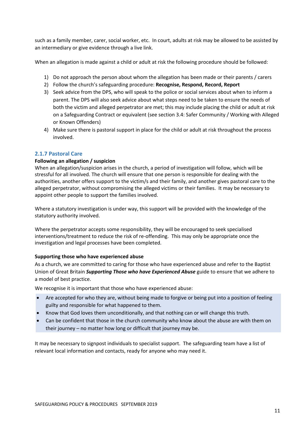such as a family member, carer, social worker, etc. In court, adults at risk may be allowed to be assisted by an intermediary or give evidence through a live link.

When an allegation is made against a child or adult at risk the following procedure should be followed:

- 1) Do not approach the person about whom the allegation has been made or their parents / carers
- 2) Follow the church's safeguarding procedure: **Recognise, Respond, Record, Report**
- 3) Seek advice from the DPS, who will speak to the police or social services about when to inform a parent. The DPS will also seek advice about what steps need to be taken to ensure the needs of both the victim and alleged perpetrator are met; this may include placing the child or adult at risk on a Safeguarding Contract or equivalent (see section 3.4: Safer Community / Working with Alleged or Known Offenders)
- 4) Make sure there is pastoral support in place for the child or adult at risk throughout the process involved.

#### **2.1.7 Pastoral Care**

#### **Following an allegation / suspicion**

When an allegation/suspicion arises in the church, a period of investigation will follow, which will be stressful for all involved. The church will ensure that one person is responsible for dealing with the authorities, another offers support to the victim/s and their family, and another gives pastoral care to the alleged perpetrator, without compromising the alleged victims or their families. It may be necessary to appoint other people to support the families involved.

Where a statutory investigation is under way, this support will be provided with the knowledge of the statutory authority involved.

Where the perpetrator accepts some responsibility, they will be encouraged to seek specialised interventions/treatment to reduce the risk of re-offending. This may only be appropriate once the investigation and legal processes have been completed.

#### **Supporting those who have experienced abuse**

As a church, we are committed to caring for those who have experienced abuse and refer to the Baptist Union of Great Britain *Supporting Those who have Experienced Abuse* guide to ensure that we adhere to a model of best practice.

We recognise it is important that those who have experienced abuse:

- Are accepted for who they are, without being made to forgive or being put into a position of feeling guilty and responsible for what happened to them.
- Know that God loves them unconditionally, and that nothing can or will change this truth.
- Can be confident that those in the church community who know about the abuse are with them on their journey – no matter how long or difficult that journey may be.

It may be necessary to signpost individuals to specialist support. The safeguarding team have a list of relevant local information and contacts, ready for anyone who may need it.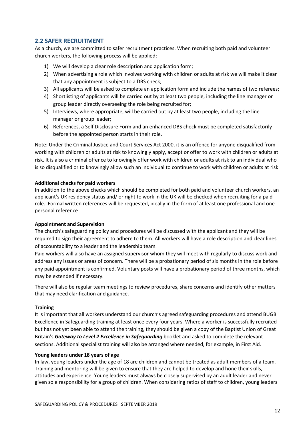# **2.2 SAFER RECRUITMENT**

As a church, we are committed to safer recruitment practices. When recruiting both paid and volunteer church workers, the following process will be applied:

- 1) We will develop a clear role description and application form;
- 2) When advertising a role which involves working with children or adults at risk we will make it clear that any appointment is subject to a DBS check;
- 3) All applicants will be asked to complete an application form and include the names of two referees;
- 4) Shortlisting of applicants will be carried out by at least two people, including the line manager or group leader directly overseeing the role being recruited for;
- 5) Interviews, where appropriate, will be carried out by at least two people, including the line manager or group leader;
- 6) References, a Self Disclosure Form and an enhanced DBS check must be completed satisfactorily before the appointed person starts in their role.

Note: Under the Criminal Justice and Court Services Act 2000, it is an offence for anyone disqualified from working with children or adults at risk to knowingly apply, accept or offer to work with children or adults at risk. It is also a criminal offence to knowingly offer work with children or adults at risk to an individual who is so disqualified or to knowingly allow such an individual to continue to work with children or adults at risk.

#### **Additional checks for paid workers**

In addition to the above checks which should be completed for both paid and volunteer church workers, an applicant's UK residency status and/ or right to work in the UK will be checked when recruiting for a paid role. Formal written references will be requested, ideally in the form of at least one professional and one personal reference

#### **Appointment and Supervision**

The church's safeguarding policy and procedures will be discussed with the applicant and they will be required to sign their agreement to adhere to them. All workers will have a role description and clear lines of accountability to a leader and the leadership team.

Paid workers will also have an assigned supervisor whom they will meet with regularly to discuss work and address any issues or areas of concern. There will be a probationary period of six months in the role before any paid appointment is confirmed. Voluntary posts will have a probationary period of three months, which may be extended if necessary.

There will also be regular team meetings to review procedures, share concerns and identify other matters that may need clarification and guidance.

#### **Training**

It is important that all workers understand our church's agreed safeguarding procedures and attend BUGB Excellence in Safeguarding training at least once every four years. Where a worker is successfully recruited but has not yet been able to attend the training, they should be given a copy of the Baptist Union of Great Britain's *Gateway to Level 2 Excellence in Safeguarding* booklet and asked to complete the relevant sections. Additional specialist training will also be arranged where needed, for example, in First Aid.

#### **Young leaders under 18 years of age**

In law, young leaders under the age of 18 are children and cannot be treated as adult members of a team. Training and mentoring will be given to ensure that they are helped to develop and hone their skills, attitudes and experience. Young leaders must always be closely supervised by an adult leader and never given sole responsibility for a group of children. When considering ratios of staff to children, young leaders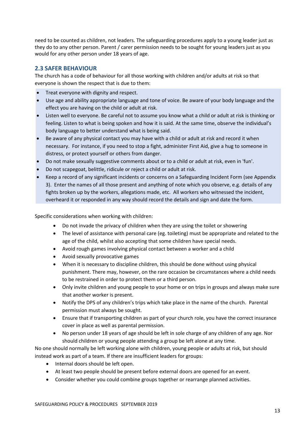need to be counted as children, not leaders. The safeguarding procedures apply to a young leader just as they do to any other person. Parent / carer permission needs to be sought for young leaders just as you would for any other person under 18 years of age.

# **2.3 SAFER BEHAVIOUR**

The church has a code of behaviour for all those working with children and/or adults at risk so that everyone is shown the respect that is due to them:

- Treat everyone with dignity and respect.
- Use age and ability appropriate language and tone of voice. Be aware of your body language and the effect you are having on the child or adult at risk.
- Listen well to everyone. Be careful not to assume you know what a child or adult at risk is thinking or feeling. Listen to what is being spoken and how it is said. At the same time, observe the individual's body language to better understand what is being said.
- Be aware of any physical contact you may have with a child or adult at risk and record it when necessary. For instance, if you need to stop a fight, administer First Aid, give a hug to someone in distress, or protect yourself or others from danger.
- Do not make sexually suggestive comments about or to a child or adult at risk, even in 'fun'.
- Do not scapegoat, belittle, ridicule or reject a child or adult at risk.
- Keep a record of any significant incidents or concerns on a Safeguarding Incident Form (see Appendix 3). Enter the names of all those present and anything of note which you observe, e.g. details of any fights broken up by the workers, allegations made, etc. All workers who witnessed the incident, overheard it or responded in any way should record the details and sign and date the form.

Specific considerations when working with children:

- Do not invade the privacy of children when they are using the toilet or showering
- The level of assistance with personal care (eg. toileting) must be appropriate and related to the age of the child, whilst also accepting that some children have special needs.
- Avoid rough games involving physical contact between a worker and a child
- Avoid sexually provocative games
- When it is necessary to discipline children, this should be done without using physical punishment. There may, however, on the rare occasion be circumstances where a child needs to be restrained in order to protect them or a third person.
- Only invite children and young people to your home or on trips in groups and always make sure that another worker is present.
- Notify the DPS of any children's trips which take place in the name of the church. Parental permission must always be sought.
- Ensure that if transporting children as part of your church role, you have the correct insurance cover in place as well as parental permission.
- No person under 18 years of age should be left in sole charge of any children of any age. Nor should children or young people attending a group be left alone at any time.

No one should normally be left working alone with children, young people or adults at risk, but should instead work as part of a team. If there are insufficient leaders for groups:

- Internal doors should be left open.
- At least two people should be present before external doors are opened for an event.
- Consider whether you could combine groups together or rearrange planned activities.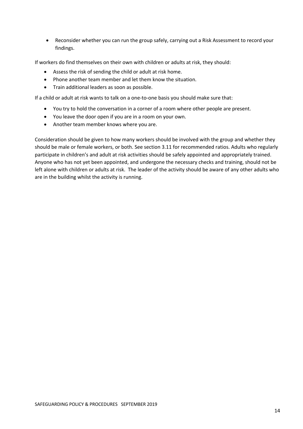• Reconsider whether you can run the group safely, carrying out a Risk Assessment to record your findings.

If workers do find themselves on their own with children or adults at risk, they should:

- Assess the risk of sending the child or adult at risk home.
- Phone another team member and let them know the situation.
- Train additional leaders as soon as possible.

If a child or adult at risk wants to talk on a one-to-one basis you should make sure that:

- You try to hold the conversation in a corner of a room where other people are present.
- You leave the door open if you are in a room on your own.
- Another team member knows where you are.

Consideration should be given to how many workers should be involved with the group and whether they should be male or female workers, or both. See section 3.11 for recommended ratios. Adults who regularly participate in children's and adult at risk activities should be safely appointed and appropriately trained. Anyone who has not yet been appointed, and undergone the necessary checks and training, should not be left alone with children or adults at risk. The leader of the activity should be aware of any other adults who are in the building whilst the activity is running.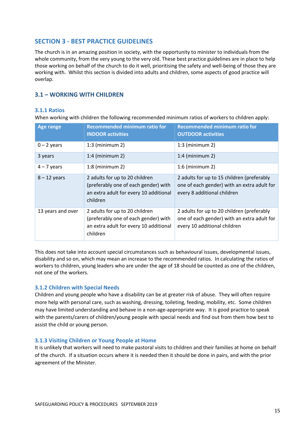# **SECTION 3 - BEST PRACTICE GUIDELINES**

The church is in an amazing position in society, with the opportunity to minister to individuals from the whole community, from the very young to the very old. These best practice guidelines are in place to help those working on behalf of the church to do it well, prioritising the safety and well-being of those they are working with. Whilst this section is divided into adults and children, some aspects of good practice will overlap.

# **3.1 – WORKING WITH CHILDREN**

# **3.1.1 Ratios**

When working with children the following recommended minimum ratios of workers to children apply:

| <b>Age range</b>  | <b>Recommended minimum ratio for</b><br><b>INDOOR activities</b>                                                             | <b>Recommended minimum ratio for</b><br><b>OUTDOOR activities</b>                                                         |
|-------------------|------------------------------------------------------------------------------------------------------------------------------|---------------------------------------------------------------------------------------------------------------------------|
| $0 - 2$ years     | $1:3$ (minimum 2)                                                                                                            | $1:3$ (minimum 2)                                                                                                         |
| 3 years           | $1:4$ (minimum 2)                                                                                                            | $1:4$ (minimum 2)                                                                                                         |
| $4 - 7$ years     | $1:8$ (minimum 2)                                                                                                            | $1:6$ (minimum 2)                                                                                                         |
| $8 - 12$ years    | 2 adults for up to 20 children<br>(preferably one of each gender) with<br>an extra adult for every 10 additional<br>children | 2 adults for up to 15 children (preferably<br>one of each gender) with an extra adult for<br>every 8 additional children  |
| 13 years and over | 2 adults for up to 20 children<br>(preferably one of each gender) with<br>an extra adult for every 10 additional<br>children | 2 adults for up to 20 children (preferably<br>one of each gender) with an extra adult for<br>every 10 additional children |

This does not take into account special circumstances such as behavioural issues, developmental issues, disability and so on, which may mean an increase to the recommended ratios. In calculating the ratios of workers to children, young leaders who are under the age of 18 should be counted as one of the children, not one of the workers.

# **3.1.2 Children with Special Needs**

Children and young people who have a disability can be at greater risk of abuse. They will often require more help with personal care, such as washing, dressing, toileting, feeding, mobility, etc. Some children may have limited understanding and behave in a non-age-appropriate way. It is good practice to speak with the parents/carers of children/young people with special needs and find out from them how best to assist the child or young person.

#### **3.1.3 Visiting Children or Young People at Home**

It is unlikely that workers will need to make pastoral visits to children and their families at home on behalf of the church. If a situation occurs where it is needed then it should be done in pairs, and with the prior agreement of the Minister.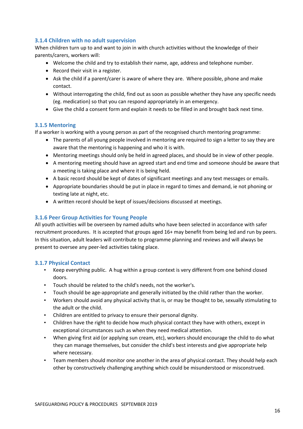# **3.1.4 Children with no adult supervision**

When children turn up to and want to join in with church activities without the knowledge of their parents/carers, workers will:

- Welcome the child and try to establish their name, age, address and telephone number.
- Record their visit in a register.
- Ask the child if a parent/carer is aware of where they are. Where possible, phone and make contact.
- Without interrogating the child, find out as soon as possible whether they have any specific needs (eg. medication) so that you can respond appropriately in an emergency.
- Give the child a consent form and explain it needs to be filled in and brought back next time.

#### **3.1.5 Mentoring**

If a worker is working with a young person as part of the recognised church mentoring programme:

- The parents of all young people involved in mentoring are required to sign a letter to say they are aware that the mentoring is happening and who it is with.
- Mentoring meetings should only be held in agreed places, and should be in view of other people.
- A mentoring meeting should have an agreed start and end time and someone should be aware that a meeting is taking place and where it is being held.
- A basic record should be kept of dates of significant meetings and any text messages or emails.
- Appropriate boundaries should be put in place in regard to times and demand, ie not phoning or texting late at night, etc.
- A written record should be kept of issues/decisions discussed at meetings.

# **3.1.6 Peer Group Activities for Young People**

All youth activities will be overseen by named adults who have been selected in accordance with safer recruitment procedures. It is accepted that groups aged 16+ may benefit from being led and run by peers. In this situation, adult leaders will contribute to programme planning and reviews and will always be present to oversee any peer-led activities taking place.

# **3.1.7 Physical Contact**

- Keep everything public. A hug within a group context is very different from one behind closed doors.
- Touch should be related to the child's needs, not the worker's.
- Touch should be age-appropriate and generally initiated by the child rather than the worker.
- Workers should avoid any physical activity that is, or may be thought to be, sexually stimulating to the adult or the child.
- Children are entitled to privacy to ensure their personal dignity.
- Children have the right to decide how much physical contact they have with others, except in exceptional circumstances such as when they need medical attention.
- When giving first aid (or applying sun cream, etc), workers should encourage the child to do what they can manage themselves, but consider the child's best interests and give appropriate help where necessary.
- Team members should monitor one another in the area of physical contact. They should help each other by constructively challenging anything which could be misunderstood or misconstrued.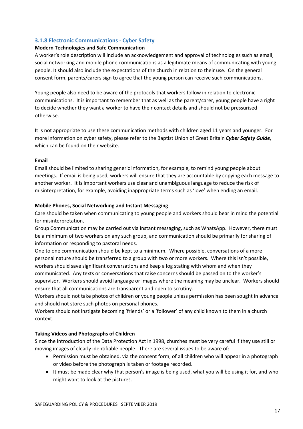# **3.1.8 Electronic Communications - Cyber Safety**

#### **Modern Technologies and Safe Communication**

A worker's role description will include an acknowledgement and approval of technologies such as email, social networking and mobile phone communications as a legitimate means of communicating with young people. It should also include the expectations of the church in relation to their use. On the general consent form, parents/carers sign to agree that the young person can receive such communications.

Young people also need to be aware of the protocols that workers follow in relation to electronic communications. It is important to remember that as well as the parent/carer, young people have a right to decide whether they want a worker to have their contact details and should not be pressurised otherwise.

It is not appropriate to use these communication methods with children aged 11 years and younger. For more information on cyber safety, please refer to the Baptist Union of Great Britain *Cyber Safety Guide*, which can be found on their website.

#### **Email**

Email should be limited to sharing generic information, for example, to remind young people about meetings. If email is being used, workers will ensure that they are accountable by copying each message to another worker. It is important workers use clear and unambiguous language to reduce the risk of misinterpretation, for example, avoiding inappropriate terms such as 'love' when ending an email.

#### **Mobile Phones, Social Networking and Instant Messaging**

Care should be taken when communicating to young people and workers should bear in mind the potential for misinterpretation.

Group Communication may be carried out via instant messaging, such as WhatsApp. However, there must be a minimum of two workers on any such group, and communication should be primarily for sharing of information or responding to pastoral needs.

One to one communication should be kept to a minimum. Where possible, conversations of a more personal nature should be transferred to a group with two or more workers. Where this isn't possible, workers should save significant conversations and keep a log stating with whom and when they communicated. Any texts or conversations that raise concerns should be passed on to the worker's supervisor. Workers should avoid language or images where the meaning may be unclear. Workers should ensure that all communications are transparent and open to scrutiny.

Workers should not take photos of children or young people unless permission has been sought in advance and should not store such photos on personal phones.

Workers should not instigate becoming 'friends' or a 'follower' of any child known to them in a church context.

# **Taking Videos and Photographs of Children**

Since the introduction of the Data Protection Act in 1998, churches must be very careful if they use still or moving images of clearly identifiable people. There are several issues to be aware of:

- Permission must be obtained, via the consent form, of all children who will appear in a photograph or video before the photograph is taken or footage recorded.
- It must be made clear why that person's image is being used, what you will be using it for, and who might want to look at the pictures.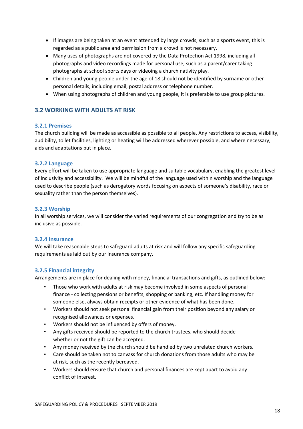- If images are being taken at an event attended by large crowds, such as a sports event, this is regarded as a public area and permission from a crowd is not necessary.
- Many uses of photographs are not covered by the Data Protection Act 1998, including all photographs and video recordings made for personal use, such as a parent/carer taking photographs at school sports days or videoing a church nativity play.
- Children and young people under the age of 18 should not be identified by surname or other personal details, including email, postal address or telephone number.
- When using photographs of children and young people, it is preferable to use group pictures.

# **3.2 WORKING WITH ADULTS AT RISK**

#### **3.2.1 Premises**

The church building will be made as accessible as possible to all people. Any restrictions to access, visibility, audibility, toilet facilities, lighting or heating will be addressed wherever possible, and where necessary, aids and adaptations put in place.

#### **3.2.2 Language**

Every effort will be taken to use appropriate language and suitable vocabulary, enabling the greatest level of inclusivity and accessibility. We will be mindful of the language used within worship and the language used to describe people (such as derogatory words focusing on aspects of someone's disability, race or sexuality rather than the person themselves).

#### **3.2.3 Worship**

In all worship services, we will consider the varied requirements of our congregation and try to be as inclusive as possible.

#### **3.2.4 Insurance**

We will take reasonable steps to safeguard adults at risk and will follow any specific safeguarding requirements as laid out by our insurance company.

#### **3.2.5 Financial integrity**

Arrangements are in place for dealing with money, financial transactions and gifts, as outlined below:

- Those who work with adults at risk may become involved in some aspects of personal finance - collecting pensions or benefits, shopping or banking, etc. If handling money for someone else, always obtain receipts or other evidence of what has been done.
- Workers should not seek personal financial gain from their position beyond any salary or recognised allowances or expenses.
- Workers should not be influenced by offers of money.
- Any gifts received should be reported to the church trustees, who should decide whether or not the gift can be accepted.
- Any money received by the church should be handled by two unrelated church workers.
- Care should be taken not to canvass for church donations from those adults who may be at risk, such as the recently bereaved.
- Workers should ensure that church and personal finances are kept apart to avoid any conflict of interest.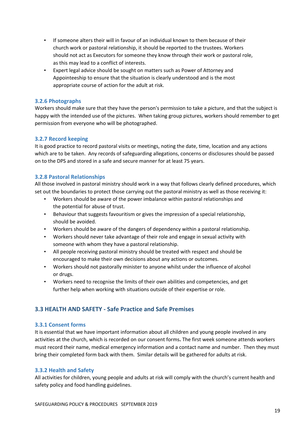- If someone alters their will in favour of an individual known to them because of their church work or pastoral relationship, it should be reported to the trustees. Workers should not act as Executors for someone they know through their work or pastoral role, as this may lead to a conflict of interests.
- Expert legal advice should be sought on matters such as Power of Attorney and Appointeeship to ensure that the situation is clearly understood and is the most appropriate course of action for the adult at risk.

## **3.2.6 Photographs**

Workers should make sure that they have the person's permission to take a picture, and that the subject is happy with the intended use of the pictures. When taking group pictures, workers should remember to get permission from everyone who will be photographed.

# **3.2.7 Record keeping**

It is good practice to record pastoral visits or meetings, noting the date, time, location and any actions which are to be taken. Any records of safeguarding allegations, concerns or disclosures should be passed on to the DPS and stored in a safe and secure manner for at least 75 years.

#### **3.2.8 Pastoral Relationships**

All those involved in pastoral ministry should work in a way that follows clearly defined procedures, which set out the boundaries to protect those carrying out the pastoral ministry as well as those receiving it:

- Workers should be aware of the power imbalance within pastoral relationships and the potential for abuse of trust.
- Behaviour that suggests favouritism or gives the impression of a special relationship, should be avoided.
- Workers should be aware of the dangers of dependency within a pastoral relationship.
- Workers should never take advantage of their role and engage in sexual activity with someone with whom they have a pastoral relationship.
- All people receiving pastoral ministry should be treated with respect and should be encouraged to make their own decisions about any actions or outcomes.
- Workers should not pastorally minister to anyone whilst under the influence of alcohol or drugs.
- Workers need to recognise the limits of their own abilities and competencies, and get further help when working with situations outside of their expertise or role.

# **3.3 HEALTH AND SAFETY - Safe Practice and Safe Premises**

# **3.3.1 Consent forms**

It is essential that we have important information about all children and young people involved in any activities at the church, which is recorded on our consent forms**.** The first week someone attends workers must record their name, medical emergency information and a contact name and number. Then they must bring their completed form back with them. Similar details will be gathered for adults at risk.

# **3.3.2 Health and Safety**

All activities for children, young people and adults at risk will comply with the church's current health and safety policy and food handling guidelines.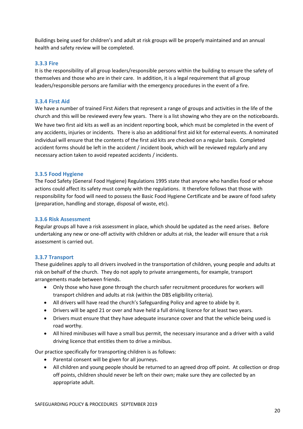Buildings being used for children's and adult at risk groups will be properly maintained and an annual health and safety review will be completed.

#### **3.3.3 Fire**

It is the responsibility of all group leaders/responsible persons within the building to ensure the safety of themselves and those who are in their care. In addition, it is a legal requirement that all group leaders/responsible persons are familiar with the emergency procedures in the event of a fire.

#### **3.3.4 First Aid**

We have a number of trained First Aiders that represent a range of groups and activities in the life of the church and this will be reviewed every few years. There is a list showing who they are on the noticeboards. We have two first aid kits as well as an incident reporting book, which must be completed in the event of any accidents, injuries or incidents. There is also an additional first aid kit for external events. A nominated individual will ensure that the contents of the first aid kits are checked on a regular basis. Completed accident forms should be left in the accident / incident book, which will be reviewed regularly and any necessary action taken to avoid repeated accidents / incidents.

#### **3.3.5 Food Hygiene**

The Food Safety (General Food Hygiene) Regulations 1995 state that anyone who handles food or whose actions could affect its safety must comply with the regulations. It therefore follows that those with responsibility for food will need to possess the Basic Food Hygiene Certificate and be aware of food safety (preparation, handling and storage, disposal of waste, etc).

#### **3.3.6 Risk Assessment**

Regular groups all have a risk assessment in place, which should be updated as the need arises. Before undertaking any new or one-off activity with children or adults at risk, the leader will ensure that a risk assessment is carried out.

# **3.3.7 Transport**

These guidelines apply to all drivers involved in the transportation of children, young people and adults at risk on behalf of the church. They do not apply to private arrangements, for example, transport arrangements made between friends.

- Only those who have gone through the church safer recruitment procedures for workers will transport children and adults at risk (within the DBS eligibility criteria).
- All drivers will have read the church's Safeguarding Policy and agree to abide by it.
- Drivers will be aged 21 or over and have held a full driving licence for at least two years.
- Drivers must ensure that they have adequate insurance cover and that the vehicle being used is road worthy.
- All hired minibuses will have a small bus permit, the necessary insurance and a driver with a valid driving licence that entitles them to drive a minibus.

Our practice specifically for transporting children is as follows:

- Parental consent will be given for all journeys.
- All children and young people should be returned to an agreed drop off point. At collection or drop off points, children should never be left on their own; make sure they are collected by an appropriate adult.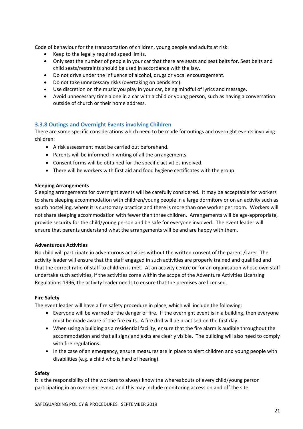Code of behaviour for the transportation of children, young people and adults at risk:

- Keep to the legally required speed limits.
- Only seat the number of people in your car that there are seats and seat belts for. Seat belts and child seats/restraints should be used in accordance with the law.
- Do not drive under the influence of alcohol, drugs or vocal encouragement.
- Do not take unnecessary risks (overtaking on bends etc).
- Use discretion on the music you play in your car, being mindful of lyrics and message.
- Avoid unnecessary time alone in a car with a child or young person, such as having a conversation outside of church or their home address.

# **3.3.8 Outings and Overnight Events involving Children**

There are some specific considerations which need to be made for outings and overnight events involving children:

- A risk assessment must be carried out beforehand.
- Parents will be informed in writing of all the arrangements.
- Consent forms will be obtained for the specific activities involved.
- There will be workers with first aid and food hygiene certificates with the group.

#### **Sleeping Arrangements**

Sleeping arrangements for overnight events will be carefully considered. It may be acceptable for workers to share sleeping accommodation with children/young people in a large dormitory or on an activity such as youth hostelling, where it is customary practice and there is more than one worker per room. Workers will not share sleeping accommodation with fewer than three children. Arrangements will be age-appropriate, provide security for the child/young person and be safe for everyone involved. The event leader will ensure that parents understand what the arrangements will be and are happy with them.

#### **Adventurous Activities**

No child will participate in adventurous activities without the written consent of the parent /carer. The activity leader will ensure that the staff engaged in such activities are properly trained and qualified and that the correct ratio of staff to children is met. At an activity centre or for an organisation whose own staff undertake such activities, if the activities come within the scope of the Adventure Activities Licensing Regulations 1996, the activity leader needs to ensure that the premises are licensed.

#### **Fire Safety**

The event leader will have a fire safety procedure in place, which will include the following:

- Everyone will be warned of the danger of fire. If the overnight event is in a building, then everyone must be made aware of the fire exits. A fire drill will be practised on the first day.
- When using a building as a residential facility, ensure that the fire alarm is audible throughout the accommodation and that all signs and exits are clearly visible. The building will also need to comply with fire regulations.
- In the case of an emergency, ensure measures are in place to alert children and young people with disabilities (e.g. a child who is hard of hearing).

#### **Safety**

It is the responsibility of the workers to always know the whereabouts of every child/young person participating in an overnight event, and this may include monitoring access on and off the site.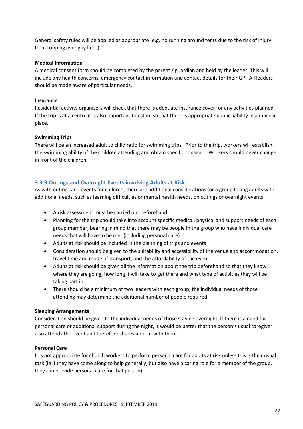General safety rules will be applied as appropriate (e.g. no running around tents due to the risk of injury from tripping over guy lines).

#### **Medical Information**

A medical consent form should be completed by the parent / guardian and held by the leader. This will include any health concerns, emergency contact information and contact details for their GP. All leaders should be made aware of particular needs.

#### **Insurance**

Residential activity organisers will check that there is adequate insurance cover for any activities planned. If the trip is at a centre it is also important to establish that there is appropriate public liability insurance in place.

#### **Swimming Trips**

There will be an increased adult to child ratio for swimming trips. Prior to the trip, workers will establish the swimming ability of the children attending and obtain specific consent. Workers should never change in front of the children.

# **3.3.9 Outings and Overnight Events involving Adults at Risk**

As with outings and events for children, there are additional considerations for a group taking adults with additional needs, such as learning difficulties or mental health needs, on outings or overnight events:

- A risk assessment must be carried out beforehand
- Planning for the trip should take into account specific medical, physical and support needs of each group member, bearing in mind that there may be people in the group who have individual care needs that will have to be met (including personal care)
- Adults at risk should be included in the planning of trips and events
- Consideration should be given to the suitability and accessibility of the venue and accommodation, travel time and mode of transport, and the affordability of the event
- Adults at risk should be given all the information about the trip beforehand so that they know where they are going, how long it will take to get there and what type of activities they will be taking part in.
- There should be a minimum of two leaders with each group; the individual needs of those attending may determine the additional number of people required.

#### **Sleeping Arrangements**

Consideration should be given to the individual needs of those staying overnight. If there is a need for personal care or additional support during the night, it would be better that the person's usual caregiver also attends the event and therefore shares a room with them.

# **Personal Care**

It is not appropriate for church workers to perform personal care for adults at risk unless this is their usual task (ie if they have come along to help generally, but also have a caring role for a member of the group, they can provide personal care for that person).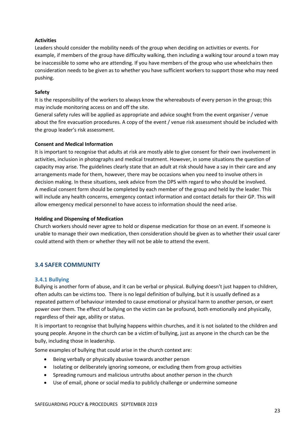#### **Activities**

Leaders should consider the mobility needs of the group when deciding on activities or events. For example, if members of the group have difficulty walking, then including a walking tour around a town may be inaccessible to some who are attending. If you have members of the group who use wheelchairs then consideration needs to be given as to whether you have sufficient workers to support those who may need pushing.

#### **Safety**

It is the responsibility of the workers to always know the whereabouts of every person in the group; this may include monitoring access on and off the site.

General safety rules will be applied as appropriate and advice sought from the event organiser / venue about the fire evacuation procedures. A copy of the event / venue risk assessment should be included with the group leader's risk assessment.

#### **Consent and Medical Information**

It is important to recognise that adults at risk are mostly able to give consent for their own involvement in activities, inclusion in photographs and medical treatment. However, in some situations the question of capacity may arise. The guidelines clearly state that an adult at risk should have a say in their care and any arrangements made for them, however, there may be occasions when you need to involve others in decision making. In these situations, seek advice from the DPS with regard to who should be involved. A medical consent form should be completed by each member of the group and held by the leader. This will include any health concerns, emergency contact information and contact details for their GP. This will allow emergency medical personnel to have access to information should the need arise.

#### **Holding and Dispensing of Medication**

Church workers should never agree to hold or dispense medication for those on an event. If someone is unable to manage their own medication, then consideration should be given as to whether their usual carer could attend with them or whether they will not be able to attend the event.

# **3.4 SAFER COMMUNITY**

# **3.4.1 Bullying**

Bullying is another form of abuse, and it can be verbal or physical. Bullying doesn't just happen to children, often adults can be victims too. There is no legal definition of bullying, but it is usually defined as a repeated pattern of behaviour intended to cause emotional or physical harm to another person, or exert power over them. The effect of bullying on the victim can be profound, both emotionally and physically, regardless of their age, ability or status.

It is important to recognise that bullying happens within churches, and it is not isolated to the children and young people. Anyone in the church can be a victim of bullying, just as anyone in the church can be the bully, including those in leadership.

Some examples of bullying that could arise in the church context are:

- Being verbally or physically abusive towards another person
- Isolating or deliberately ignoring someone, or excluding them from group activities
- Spreading rumours and malicious untruths about another person in the church
- Use of email, phone or social media to publicly challenge or undermine someone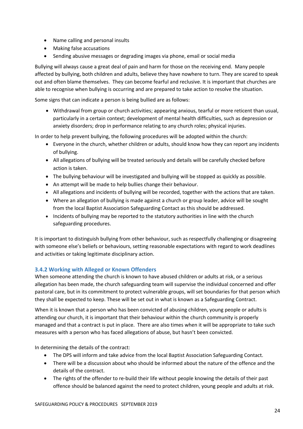- Name calling and personal insults
- Making false accusations
- Sending abusive messages or degrading images via phone, email or social media

Bullying will always cause a great deal of pain and harm for those on the receiving end. Many people affected by bullying, both children and adults, believe they have nowhere to turn. They are scared to speak out and often blame themselves. They can become fearful and reclusive. It is important that churches are able to recognise when bullying is occurring and are prepared to take action to resolve the situation.

Some signs that can indicate a person is being bullied are as follows:

• Withdrawal from group or church activities; appearing anxious, tearful or more reticent than usual, particularly in a certain context; development of mental health difficulties, such as depression or anxiety disorders; drop in performance relating to any church roles; physical injuries.

In order to help prevent bullying, the following procedures will be adopted within the church:

- Everyone in the church, whether children or adults, should know how they can report any incidents of bullying.
- All allegations of bullying will be treated seriously and details will be carefully checked before action is taken.
- The bullying behaviour will be investigated and bullying will be stopped as quickly as possible.
- An attempt will be made to help bullies change their behaviour.
- All allegations and incidents of bullying will be recorded, together with the actions that are taken.
- Where an allegation of bullying is made against a church or group leader, advice will be sought from the local Baptist Association Safeguarding Contact as this should be addressed.
- Incidents of bullying may be reported to the statutory authorities in line with the church safeguarding procedures.

It is important to distinguish bullying from other behaviour, such as respectfully challenging or disagreeing with someone else's beliefs or behaviours, setting reasonable expectations with regard to work deadlines and activities or taking legitimate disciplinary action.

# **3.4.2 Working with Alleged or Known Offenders**

When someone attending the church is known to have abused children or adults at risk, or a serious allegation has been made, the church safeguarding team will supervise the individual concerned and offer pastoral care, but in its commitment to protect vulnerable groups, will set boundaries for that person which they shall be expected to keep. These will be set out in what is known as a Safeguarding Contract.

When it is known that a person who has been convicted of abusing children, young people or adults is attending our church, it is important that their behaviour within the church community is properly managed and that a contract is put in place. There are also times when it will be appropriate to take such measures with a person who has faced allegations of abuse, but hasn't been convicted.

In determining the details of the contract:

- The DPS will inform and take advice from the local Baptist Association Safeguarding Contact.
- There will be a discussion about who should be informed about the nature of the offence and the details of the contract.
- The rights of the offender to re-build their life without people knowing the details of their past offence should be balanced against the need to protect children, young people and adults at risk.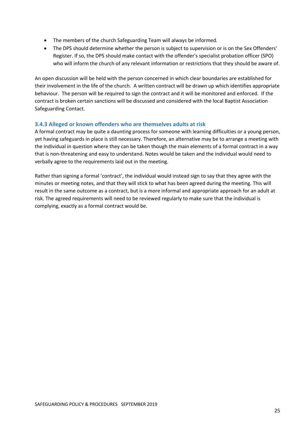- The members of the church Safeguarding Team will always be informed.
- The DPS should determine whether the person is subject to supervision or is on the Sex Offenders' Register. If so, the DPS should make contact with the offender's specialist probation officer (SPO) who will inform the church of any relevant information or restrictions that they should be aware of.

An open discussion will be held with the person concerned in which clear boundaries are established for their involvement in the life of the church. A written contract will be drawn up which identifies appropriate behaviour. The person will be required to sign the contract and it will be monitored and enforced. If the contract is broken certain sanctions will be discussed and considered with the local Baptist Association Safeguarding Contact.

# **3.4.3 Alleged or known offenders who are themselves adults at risk**

A formal contract may be quite a daunting process for someone with learning difficulties or a young person, yet having safeguards in place is still necessary. Therefore, an alternative may be to arrange a meeting with the individual in question where they can be taken though the main elements of a formal contract in a way that is non-threatening and easy to understand. Notes would be taken and the individual would need to verbally agree to the requirements laid out in the meeting.

Rather than signing a formal 'contract', the individual would instead sign to say that they agree with the minutes or meeting notes, and that they will stick to what has been agreed during the meeting. This will result in the same outcome as a contract, but is a more informal and appropriate approach for an adult at risk. The agreed requirements will need to be reviewed regularly to make sure that the individual is complying, exactly as a formal contract would be.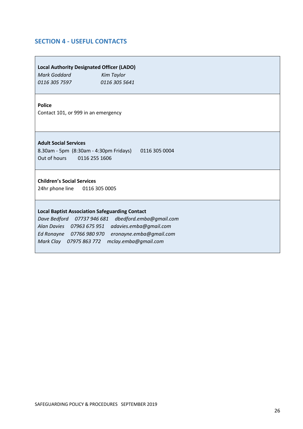# **SECTION 4 - USEFUL CONTACTS**

#### **Local Authority Designated Officer (LADO)**

*Mark Goddard Kim Taylor 0116 305 7597 0116 305 5641*

#### **Police**

Contact 101, or 999 in an emergency

#### **Adult Social Services**

8.30am - 5pm (8:30am - 4:30pm Fridays) 0116 305 0004 Out of hours 0116 255 1606

#### **Children's Social Services**

24hr phone line 0116 305 0005

#### **Local Baptist Association Safeguarding Contact**

*Dave Bedford 07737 946 681 dbedford.emba@gmail.com Alan Davies 07963 675 951 adavies.emba@gmail.com Ed Ronayne 07766 980 970 eronayne.emba@gmail.com Mark Clay 07975 863 772 mclay.emba@gmail.com*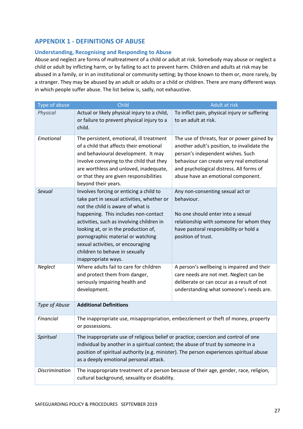# **APPENDIX 1 - DEFINITIONS OF ABUSE**

# **Understanding, Recognising and Responding to Abuse**

Abuse and neglect are forms of maltreatment of a child or adult at risk. Somebody may abuse or neglect a child or adult by inflicting harm, or by failing to act to prevent harm. Children and adults at risk may be abused in a family, or in an institutional or community setting; by those known to them or, more rarely, by a stranger. They may be abused by an adult or adults or a child or children. There are many different ways in which people suffer abuse. The list below is, sadly, not exhaustive.

| Type of abuse         | Child                                                                                                                                                                                                                                                                                                                                                                                      | Adult at risk                                                                                                                                                                                                                                                 |  |  |
|-----------------------|--------------------------------------------------------------------------------------------------------------------------------------------------------------------------------------------------------------------------------------------------------------------------------------------------------------------------------------------------------------------------------------------|---------------------------------------------------------------------------------------------------------------------------------------------------------------------------------------------------------------------------------------------------------------|--|--|
| Physical              | Actual or likely physical injury to a child,<br>or failure to prevent physical injury to a<br>child.                                                                                                                                                                                                                                                                                       | To inflict pain, physical injury or suffering<br>to an adult at risk.                                                                                                                                                                                         |  |  |
| Emotional             | The persistent, emotional, ill treatment<br>of a child that affects their emotional<br>and behavioural development. It may<br>involve conveying to the child that they<br>are worthless and unloved, inadequate,<br>or that they are given responsibilities<br>beyond their years.                                                                                                         | The use of threats, fear or power gained by<br>another adult's position, to invalidate the<br>person's independent wishes. Such<br>behaviour can create very real emotional<br>and psychological distress. All forms of<br>abuse have an emotional component. |  |  |
| Sexual                | Involves forcing or enticing a child to<br>take part in sexual activities, whether or<br>not the child is aware of what is<br>happening. This includes non-contact<br>activities, such as involving children in<br>looking at, or in the production of,<br>pornographic material or watching<br>sexual activities, or encouraging<br>children to behave in sexually<br>inappropriate ways. | Any non-consenting sexual act or<br>behaviour.<br>No one should enter into a sexual<br>relationship with someone for whom they<br>have pastoral responsibility or hold a<br>position of trust.                                                                |  |  |
| Neglect               | Where adults fail to care for children<br>and protect them from danger,<br>seriously impairing health and<br>development.                                                                                                                                                                                                                                                                  | A person's wellbeing is impaired and their<br>care needs are not met. Neglect can be<br>deliberate or can occur as a result of not<br>understanding what someone's needs are.                                                                                 |  |  |
| Type of Abuse         | <b>Additional Definitions</b>                                                                                                                                                                                                                                                                                                                                                              |                                                                                                                                                                                                                                                               |  |  |
| Financial             | The inappropriate use, misappropriation, embezzlement or theft of money, property<br>or possessions.                                                                                                                                                                                                                                                                                       |                                                                                                                                                                                                                                                               |  |  |
| Spiritual             | The inappropriate use of religious belief or practice; coercion and control of one<br>individual by another in a spiritual context; the abuse of trust by someone in a<br>position of spiritual authority (e.g. minister). The person experiences spiritual abuse<br>as a deeply emotional personal attack.                                                                                |                                                                                                                                                                                                                                                               |  |  |
| <b>Discrimination</b> | The inappropriate treatment of a person because of their age, gender, race, religion,<br>cultural background, sexuality or disability.                                                                                                                                                                                                                                                     |                                                                                                                                                                                                                                                               |  |  |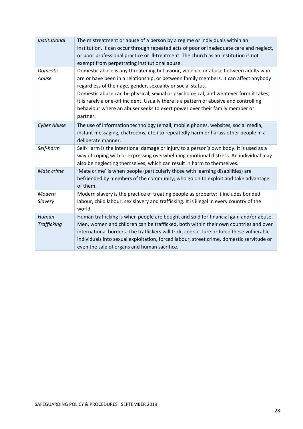| <b>Institutional</b> | The mistreatment or abuse of a person by a regime or individuals within an<br>institution. It can occur through repeated acts of poor or inadequate care and neglect,<br>or poor professional practice or ill-treatment. The church as an institution is not<br>exempt from perpetrating institutional abuse.                                                                                                                                                                                                         |
|----------------------|-----------------------------------------------------------------------------------------------------------------------------------------------------------------------------------------------------------------------------------------------------------------------------------------------------------------------------------------------------------------------------------------------------------------------------------------------------------------------------------------------------------------------|
| Domestic<br>Abuse    | Domestic abuse is any threatening behaviour, violence or abuse between adults who<br>are or have been in a relationship, or between family members. It can affect anybody<br>regardless of their age, gender, sexuality or social status.<br>Domestic abuse can be physical, sexual or psychological, and whatever form it takes,<br>it is rarely a one-off incident. Usually there is a pattern of abusive and controlling<br>behaviour where an abuser seeks to exert power over their family member or<br>partner. |
| <b>Cyber Abuse</b>   | The use of information technology (email, mobile phones, websites, social media,<br>instant messaging, chatrooms, etc.) to repeatedly harm or harass other people in a<br>deliberate manner.                                                                                                                                                                                                                                                                                                                          |
| Self-harm            | Self-Harm is the intentional damage or injury to a person's own body. It is used as a<br>way of coping with or expressing overwhelming emotional distress. An individual may<br>also be neglecting themselves, which can result in harm to themselves.                                                                                                                                                                                                                                                                |
| Mate crime           | 'Mate crime' is when people (particularly those with learning disabilities) are<br>befriended by members of the community, who go on to exploit and take advantage<br>of them.                                                                                                                                                                                                                                                                                                                                        |
| Modern<br>Slavery    | Modern slavery is the practice of treating people as property; it includes bonded<br>labour, child labour, sex slavery and trafficking. It is illegal in every country of the<br>world.                                                                                                                                                                                                                                                                                                                               |
| Human<br>Trafficking | Human trafficking is when people are bought and sold for financial gain and/or abuse.<br>Men, women and children can be trafficked, both within their own countries and over<br>international borders. The traffickers will trick, coerce, lure or force these vulnerable<br>individuals into sexual exploitation, forced labour, street crime, domestic servitude or<br>even the sale of organs and human sacrifice.                                                                                                 |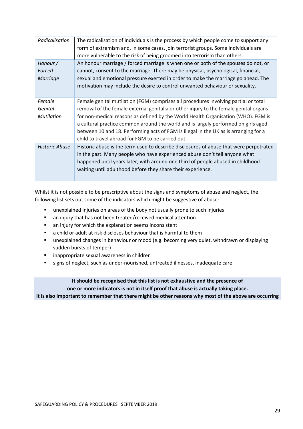| Radicalisation                         | The radicalisation of individuals is the process by which people come to support any<br>form of extremism and, in some cases, join terrorist groups. Some individuals are<br>more vulnerable to the risk of being groomed into terrorism than others.                                                                                                                                                                                                                                                |
|----------------------------------------|------------------------------------------------------------------------------------------------------------------------------------------------------------------------------------------------------------------------------------------------------------------------------------------------------------------------------------------------------------------------------------------------------------------------------------------------------------------------------------------------------|
| Honour /<br>Forced<br>Marriage         | An honour marriage / forced marriage is when one or both of the spouses do not, or<br>cannot, consent to the marriage. There may be physical, psychological, financial,<br>sexual and emotional pressure exerted in order to make the marriage go ahead. The<br>motivation may include the desire to control unwanted behaviour or sexuality.                                                                                                                                                        |
| Female<br>Genital<br><b>Mutilation</b> | Female genital mutilation (FGM) comprises all procedures involving partial or total<br>removal of the female external genitalia or other injury to the female genital organs<br>for non-medical reasons as defined by the World Health Organisation (WHO). FGM is<br>a cultural practice common around the world and is largely performed on girls aged<br>between 10 and 18. Performing acts of FGM is illegal in the UK as is arranging for a<br>child to travel abroad for FGM to be carried out. |
| <b>Historic Abuse</b>                  | Historic abuse is the term used to describe disclosures of abuse that were perpetrated<br>in the past. Many people who have experienced abuse don't tell anyone what<br>happened until years later, with around one third of people abused in childhood<br>waiting until adulthood before they share their experience.                                                                                                                                                                               |

Whilst it is not possible to be prescriptive about the signs and symptoms of abuse and neglect, the following list sets out some of the indicators which might be suggestive of abuse:

- unexplained injuries on areas of the body not usually prone to such injuries
- an injury that has not been treated/received medical attention
- an injury for which the explanation seems inconsistent
- a child or adult at risk discloses behaviour that is harmful to them
- unexplained changes in behaviour or mood (e.g. becoming very quiet, withdrawn or displaying sudden bursts of temper)
- inappropriate sexual awareness in children
- signs of neglect, such as under-nourished, untreated illnesses, inadequate care.

**It should be recognised that this list is not exhaustive and the presence of one or more indicators is not in itself proof that abuse is actually taking place. It is also important to remember that there might be other reasons why most of the above are occurring**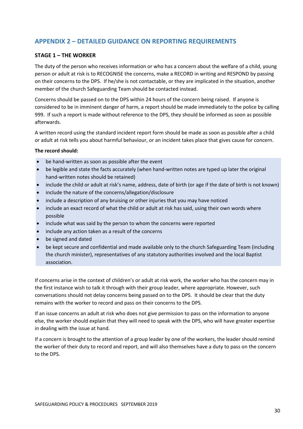# **APPENDIX 2 – DETAILED GUIDANCE ON REPORTING REQUIREMENTS**

## **STAGE 1 – THE WORKER**

The duty of the person who receives information or who has a concern about the welfare of a child, young person or adult at risk is to RECOGNISE the concerns, make a RECORD in writing and RESPOND by passing on their concerns to the DPS. If he/she is not contactable, or they are implicated in the situation, another member of the church Safeguarding Team should be contacted instead.

Concerns should be passed on to the DPS within 24 hours of the concern being raised. If anyone is considered to be in imminent danger of harm, a report should be made immediately to the police by calling 999. If such a report is made without reference to the DPS, they should be informed as soon as possible afterwards.

A written record using the standard incident report form should be made as soon as possible after a child or adult at risk tells you about harmful behaviour, or an incident takes place that gives cause for concern.

#### **The record should:**

- be hand-written as soon as possible after the event
- be legible and state the facts accurately (when hand-written notes are typed up later the original hand-written notes should be retained)
- include the child or adult at risk's name, address, date of birth (or age if the date of birth is not known)
- include the nature of the concerns/allegation/disclosure
- include a description of any bruising or other injuries that you may have noticed
- include an exact record of what the child or adult at risk has said, using their own words where possible
- include what was said by the person to whom the concerns were reported
- include any action taken as a result of the concerns
- be signed and dated
- be kept secure and confidential and made available only to the church Safeguarding Team (including the church minister), representatives of any statutory authorities involved and the local Baptist association.

If concerns arise in the context of children's or adult at risk work, the worker who has the concern may in the first instance wish to talk it through with their group leader, where appropriate. However, such conversations should not delay concerns being passed on to the DPS. It should be clear that the duty remains with the worker to record and pass on their concerns to the DPS.

If an issue concerns an adult at risk who does not give permission to pass on the information to anyone else, the worker should explain that they will need to speak with the DPS, who will have greater expertise in dealing with the issue at hand.

If a concern is brought to the attention of a group leader by one of the workers, the leader should remind the worker of their duty to record and report, and will also themselves have a duty to pass on the concern to the DPS.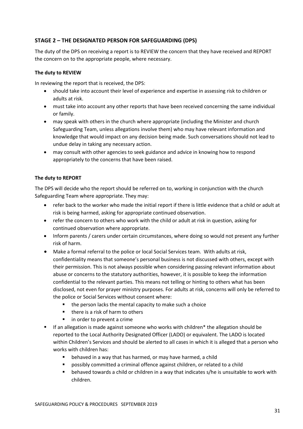# **STAGE 2 – THE DESIGNATED PERSON FOR SAFEGUARDING (DPS)**

The duty of the DPS on receiving a report is to REVIEW the concern that they have received and REPORT the concern on to the appropriate people, where necessary.

## **The duty to REVIEW**

In reviewing the report that is received, the DPS:

- should take into account their level of experience and expertise in assessing risk to children or adults at risk.
- must take into account any other reports that have been received concerning the same individual or family.
- may speak with others in the church where appropriate (including the Minister and church Safeguarding Team, unless allegations involve them) who may have relevant information and knowledge that would impact on any decision being made. Such conversations should not lead to undue delay in taking any necessary action.
- may consult with other agencies to seek guidance and advice in knowing how to respond appropriately to the concerns that have been raised.

#### **The duty to REPORT**

The DPS will decide who the report should be referred on to, working in conjunction with the church Safeguarding Team where appropriate. They may:

- refer back to the worker who made the initial report if there is little evidence that a child or adult at risk is being harmed, asking for appropriate continued observation.
- refer the concern to others who work with the child or adult at risk in question, asking for continued observation where appropriate.
- Inform parents / carers under certain circumstances, where doing so would not present any further risk of harm.
- Make a formal referral to the police or local Social Services team. With adults at risk, confidentiality means that someone's personal business is not discussed with others, except with their permission. This is not always possible when considering passing relevant information about abuse or concerns to the statutory authorities, however, it is possible to keep the information confidential to the relevant parties. This means not telling or hinting to others what has been disclosed, not even for prayer ministry purposes. For adults at risk, concerns will only be referred to the police or Social Services without consent where:
	- the person lacks the mental capacity to make such a choice
	- there is a risk of harm to others
	- in order to prevent a crime
- If an allegation is made against someone who works with children<sup>\*</sup> the allegation should be reported to the Local Authority Designated Officer (LADO) or equivalent. The LADO is located within Children's Services and should be alerted to all cases in which it is alleged that a person who works with children has:
	- behaved in a way that has harmed, or may have harmed, a child
	- possibly committed a criminal offence against children, or related to a child
	- behaved towards a child or children in a way that indicates s/he is unsuitable to work with children.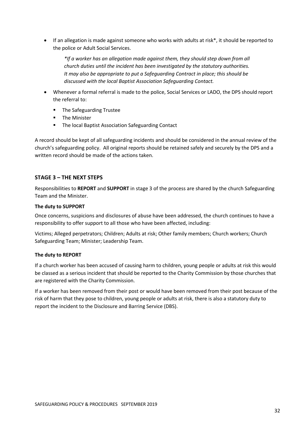If an allegation is made against someone who works with adults at risk<sup>\*</sup>, it should be reported to the police or Adult Social Services.

*\*If a worker has an allegation made against them, they should step down from all church duties until the incident has been investigated by the statutory authorities. It may also be appropriate to put a Safeguarding Contract in place; this should be discussed with the local Baptist Association Safeguarding Contact.*

- Whenever a formal referral is made to the police, Social Services or LADO, the DPS should report the referral to:
	- The Safeguarding Trustee
	- The Minister
	- The local Baptist Association Safeguarding Contact

A record should be kept of all safeguarding incidents and should be considered in the annual review of the church's safeguarding policy. All original reports should be retained safely and securely by the DPS and a written record should be made of the actions taken.

# **STAGE 3 – THE NEXT STEPS**

Responsibilities to **REPORT** and **SUPPORT** in stage 3 of the process are shared by the church Safeguarding Team and the Minister.

#### **The duty to SUPPORT**

Once concerns, suspicions and disclosures of abuse have been addressed, the church continues to have a responsibility to offer support to all those who have been affected, including:

Victims; Alleged perpetrators; Children; Adults at risk; Other family members; Church workers; Church Safeguarding Team; Minister; Leadership Team.

# **The duty to REPORT**

If a church worker has been accused of causing harm to children, young people or adults at risk this would be classed as a serious incident that should be reported to the Charity Commission by those churches that are registered with the Charity Commission.

If a worker has been removed from their post or would have been removed from their post because of the risk of harm that they pose to children, young people or adults at risk, there is also a statutory duty to report the incident to the Disclosure and Barring Service (DBS).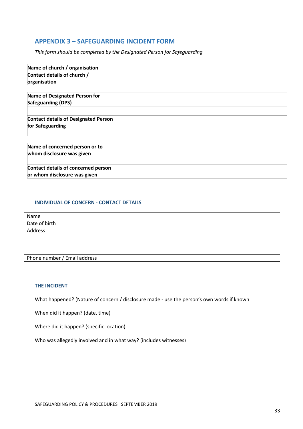# **APPENDIX 3 – SAFEGUARDING INCIDENT FORM**

*This form should be completed by the Designated Person for Safeguarding*

| Name of church / organisation               |  |
|---------------------------------------------|--|
| Contact details of church /                 |  |
| organisation                                |  |
| Name of Designated Person for               |  |
| Safeguarding (DPS)                          |  |
| <b>Contact details of Designated Person</b> |  |
| for Safeguarding                            |  |
|                                             |  |
| Name of concerned person or to              |  |
| whom disclosure was given                   |  |
|                                             |  |

| Contact details of concerned person |  |
|-------------------------------------|--|
| or whom disclosure was given        |  |
|                                     |  |
|                                     |  |

#### **INDIVIDUAL OF CONCERN - CONTACT DETAILS**

| Name                         |  |
|------------------------------|--|
| Date of birth                |  |
| Address                      |  |
|                              |  |
|                              |  |
|                              |  |
| Phone number / Email address |  |

#### **THE INCIDENT**

What happened? (Nature of concern / disclosure made - use the person's own words if known

When did it happen? (date, time)

Where did it happen? (specific location)

Who was allegedly involved and in what way? (includes witnesses)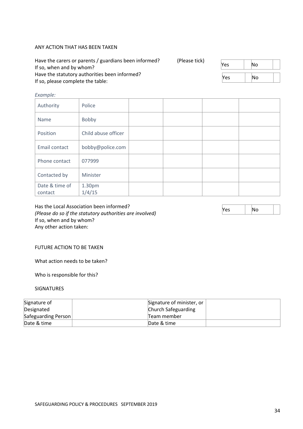#### ANY ACTION THAT HAS BEEN TAKEN

| Have the carers or parents / guardians been informed?<br>If so, when and by whom?  | (Please tick) | Yes | lΝo |  |
|------------------------------------------------------------------------------------|---------------|-----|-----|--|
| Have the statutory authorities been informed?<br>If so, please complete the table: |               | Yes | Νo  |  |

#### *Example:*

| Authority                 | Police              |  |  |
|---------------------------|---------------------|--|--|
| Name                      | Bobby               |  |  |
| Position                  | Child abuse officer |  |  |
| Email contact             | bobby@police.com    |  |  |
| Phone contact             | 077999              |  |  |
| Contacted by              | Minister            |  |  |
| Date & time of<br>contact | 1.30pm<br>1/4/15    |  |  |

Has the Local Association been informed? *(Please do so if the statutory authorities are involved)* If so, when and by whom? Any other action taken:

#### FUTURE ACTION TO BE TAKEN

What action needs to be taken?

Who is responsible for this?

## SIGNATURES

| Signature of        | Signature of minister, or |  |
|---------------------|---------------------------|--|
| Designated          | Church Safeguarding       |  |
| Safeguarding Person | Team member               |  |
| Date & time         | Date & time               |  |

 $Yes$  |  $No$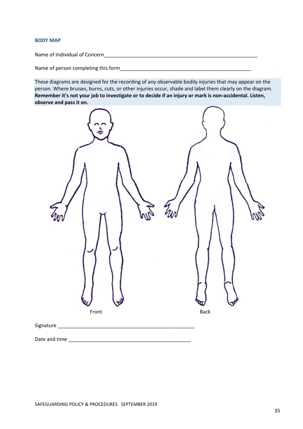#### **BODY MAP**

Name of Individual of Concern\_\_\_\_\_\_\_\_\_\_\_\_\_\_\_\_\_\_\_\_\_\_\_\_\_\_\_\_\_\_\_\_\_\_\_\_\_\_\_\_\_\_\_\_\_\_\_\_\_\_\_\_\_\_\_

Name of person completing this form

These diagrams are designed for the recording of any observable bodily injuries that may appear on the person. Where bruises, burns, cuts, or other injuries occur, shade and label them clearly on the diagram. **Remember it's not your job to investigate or to decide if an injury or mark is non-accidental. Listen, observe and pass it on.**